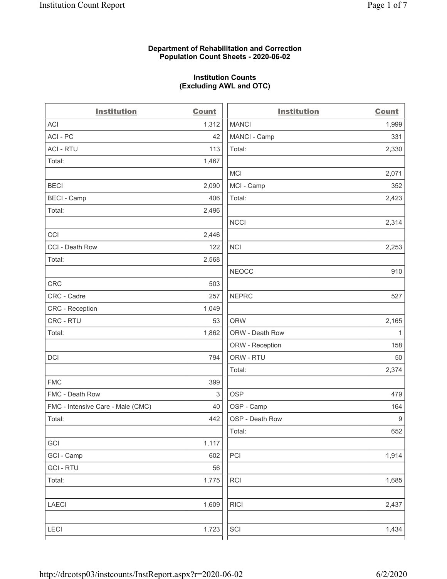### **Department of Rehabilitation and Correction Population Count Sheets - 2020-06-02**

### **Institution Counts (Excluding AWL and OTC)**

. .

| <b>Institution</b>                | <b>Count</b> | <b>Institution</b> | Count            |
|-----------------------------------|--------------|--------------------|------------------|
| ACI                               | 1,312        | <b>MANCI</b>       | 1,999            |
| ACI - PC                          | 42           | MANCI - Camp       | 331              |
| <b>ACI - RTU</b>                  | 113          | Total:             | 2,330            |
| Total:                            | 1,467        |                    |                  |
|                                   |              | MCI                | 2,071            |
| <b>BECI</b>                       | 2,090        | MCI - Camp         | 352              |
| <b>BECI - Camp</b>                | 406          | Total:             | 2,423            |
| Total:                            | 2,496        |                    |                  |
|                                   |              | <b>NCCI</b>        | 2,314            |
| CCI                               | 2,446        |                    |                  |
| CCI - Death Row                   | 122          | <b>NCI</b>         | 2,253            |
| Total:                            | 2,568        |                    |                  |
|                                   |              | <b>NEOCC</b>       | 910              |
| CRC                               | 503          |                    |                  |
| CRC - Cadre                       | 257          | <b>NEPRC</b>       | 527              |
| CRC - Reception                   | 1,049        |                    |                  |
| CRC - RTU                         | 53           | <b>ORW</b>         | 2,165            |
| Total:                            | 1,862        | ORW - Death Row    | $\mathbf{1}$     |
|                                   |              | ORW - Reception    | 158              |
| DCI                               | 794          | ORW - RTU          | 50               |
|                                   |              | Total:             | 2,374            |
| <b>FMC</b>                        | 399          |                    |                  |
| FMC - Death Row                   | 3            | <b>OSP</b>         | 479              |
| FMC - Intensive Care - Male (CMC) | 40           | OSP - Camp         | 164              |
| Total:                            | 442          | OSP - Death Row    | $\boldsymbol{9}$ |
|                                   |              | Total:             | 652              |
| GCI                               | 1,117        |                    |                  |
| GCI - Camp                        | 602          | $\mathsf{PCI}$     | 1,914            |
| <b>GCI - RTU</b>                  | 56           |                    |                  |
| Total:                            | 1,775        | RCI                | 1,685            |
| <b>LAECI</b>                      | 1,609        | <b>RICI</b>        | 2,437            |
| <b>LECI</b>                       | 1,723        | SCI                | 1,434            |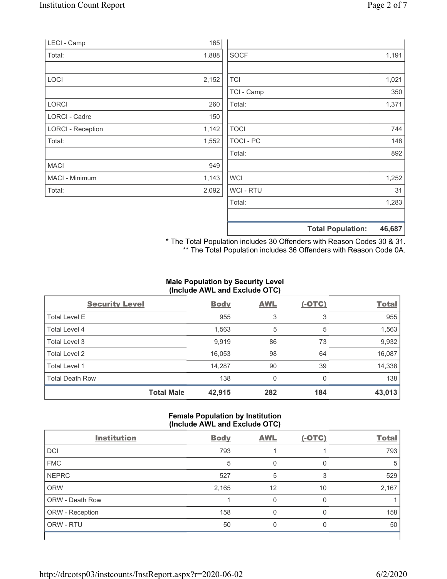| LECI - Camp              | 165   |             |                                    |
|--------------------------|-------|-------------|------------------------------------|
| Total:                   | 1,888 | <b>SOCF</b> | 1,191                              |
|                          |       |             |                                    |
| <b>LOCI</b>              | 2,152 | <b>TCI</b>  | 1,021                              |
|                          |       | TCI - Camp  | 350                                |
| LORCI                    | 260   | Total:      | 1,371                              |
| LORCI - Cadre            | 150   |             |                                    |
| <b>LORCI - Reception</b> | 1,142 | <b>TOCI</b> | 744                                |
| Total:                   | 1,552 | TOCI - PC   | 148                                |
|                          |       | Total:      | 892                                |
| <b>MACI</b>              | 949   |             |                                    |
| MACI - Minimum           | 1,143 | <b>WCI</b>  | 1,252                              |
| Total:                   | 2,092 | WCI - RTU   | 31                                 |
|                          |       | Total:      | 1,283                              |
|                          |       |             |                                    |
|                          |       |             | 46,687<br><b>Total Population:</b> |

\* The Total Population includes 30 Offenders with Reason Codes 30 & 31. \*\* The Total Population includes 36 Offenders with Reason Code 0A.

# **Male Population by Security Level (Include AWL and Exclude OTC)**

| <b>Security Level</b>  |                   | <b>Body</b> | <b>AWL</b> | $(-OTC)$ | <b>Total</b> |
|------------------------|-------------------|-------------|------------|----------|--------------|
| <b>Total Level E</b>   |                   | 955         | 3          | 3        | 955          |
| Total Level 4          |                   | 1,563       | 5          | 5        | 1,563        |
| Total Level 3          |                   | 9,919       | 86         | 73       | 9,932        |
| Total Level 2          |                   | 16,053      | 98         | 64       | 16,087       |
| Total Level 1          |                   | 14,287      | 90         | 39       | 14,338       |
| <b>Total Death Row</b> |                   | 138         | 0          | $\Omega$ | 138          |
|                        | <b>Total Male</b> | 42,915      | 282        | 184      | 43,013       |

# **Female Population by Institution (Include AWL and Exclude OTC)**

| <b>Institution</b> | <b>Body</b> | <b>AWL</b> | $(-OTC)$ | <b>Total</b> |  |
|--------------------|-------------|------------|----------|--------------|--|
| <b>DCI</b>         | 793         |            |          | 793          |  |
| <b>FMC</b>         | 5           |            | O        | 5            |  |
| <b>NEPRC</b>       | 527         | 5          | 3        | 529          |  |
| <b>ORW</b>         | 2,165       | 12         | 10       | 2,167        |  |
| ORW - Death Row    |             | U          | 0        |              |  |
| ORW - Reception    | 158         | 0          | O        | 158          |  |
| ORW - RTU          | 50          | 0          | O        | 50           |  |
|                    |             |            |          |              |  |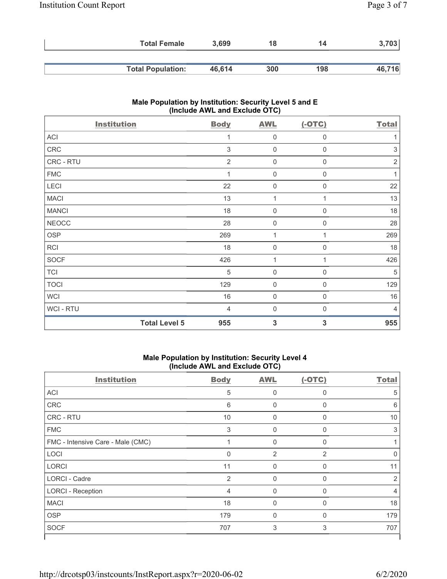| <b>Total Female</b>      | 3.699  | 18  | 14  | 3,703  |
|--------------------------|--------|-----|-----|--------|
|                          |        |     |     |        |
| <b>Total Population:</b> | 46.614 | 300 | 198 | 46,716 |

# **Male Population by Institution: Security Level 5 and E (Include AWL and Exclude OTC)**

| <b>Institution</b>   | <b>Body</b>    | <b>AWL</b>          | $(-OTC)$         | <b>Total</b>              |
|----------------------|----------------|---------------------|------------------|---------------------------|
| ACI                  | 1              | $\mathbf 0$         | 0                |                           |
| CRC                  | $\sqrt{3}$     | $\mathsf{O}\xspace$ | $\boldsymbol{0}$ | $\ensuremath{\mathsf{3}}$ |
| CRC - RTU            | $\overline{2}$ | 0                   | 0                | $\sqrt{2}$                |
| <b>FMC</b>           | 1              | $\boldsymbol{0}$    | $\boldsymbol{0}$ | 1                         |
| LECI                 | 22             | $\boldsymbol{0}$    | $\boldsymbol{0}$ | 22                        |
| <b>MACI</b>          | 13             | 1                   | 1                | 13                        |
| <b>MANCI</b>         | 18             | $\boldsymbol{0}$    | $\mathbf 0$      | 18                        |
| <b>NEOCC</b>         | 28             | $\mathbf 0$         | 0                | 28                        |
| <b>OSP</b>           | 269            | 1                   |                  | 269                       |
| <b>RCI</b>           | 18             | $\boldsymbol{0}$    | 0                | 18                        |
| SOCF                 | 426            | 1                   | 1                | 426                       |
| <b>TCI</b>           | 5              | $\boldsymbol{0}$    | $\mathbf 0$      | 5                         |
| <b>TOCI</b>          | 129            | $\boldsymbol{0}$    | 0                | 129                       |
| <b>WCI</b>           | 16             | $\mathbf 0$         | $\mathbf 0$      | 16                        |
| WCI - RTU            | $\overline{4}$ | $\mathbf 0$         | 0                | 4                         |
| <b>Total Level 5</b> | 955            | $\mathbf{3}$        | 3                | 955                       |

#### **Male Population by Institution: Security Level 4 (Include AWL and Exclude OTC)**

| <b>Institution</b>                | <b>Body</b>    | <b>AWL</b>     | $(-OTC)$     | <b>Total</b> |
|-----------------------------------|----------------|----------------|--------------|--------------|
| ACI                               | 5              | $\mathbf 0$    | 0            | 5            |
| CRC                               | 6              | 0              | $\mathbf{0}$ | 6            |
| <b>CRC - RTU</b>                  | 10             | $\Omega$       | $\Omega$     | 10           |
| <b>FMC</b>                        | 3              | $\mathbf 0$    | 0            | 3            |
| FMC - Intensive Care - Male (CMC) |                | 0              | $\Omega$     |              |
| LOCI                              | $\mathbf{0}$   | $\overline{2}$ | 2            | $\Omega$     |
| LORCI                             | 11             | $\Omega$       | $\Omega$     | 11           |
| <b>LORCI - Cadre</b>              | $\overline{2}$ | 0              | $\Omega$     | 2            |
| <b>LORCI - Reception</b>          | 4              | 0              | $\Omega$     | 4            |
| <b>MACI</b>                       | 18             | $\mathbf 0$    | $\Omega$     | 18           |
| <b>OSP</b>                        | 179            | $\Omega$       | $\Omega$     | 179          |
| <b>SOCF</b>                       | 707            | 3              | 3            | 707          |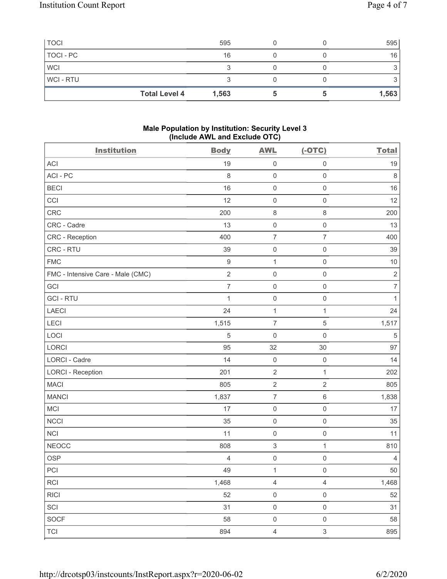| <b>TOCI</b>    |                      | 595   |  | 595   |
|----------------|----------------------|-------|--|-------|
| TOCI - PC      |                      | 16    |  | 16    |
| <b>WCI</b>     |                      |       |  |       |
| <b>WCI-RTU</b> |                      |       |  |       |
|                | <b>Total Level 4</b> | 1,563 |  | 1,563 |

### **Male Population by Institution: Security Level 3 (Include AWL and Exclude OTC)**

| <b>Institution</b>                | <b>Body</b>      | <b>AWL</b>                | $(-OTC)$            | <b>Total</b>   |
|-----------------------------------|------------------|---------------------------|---------------------|----------------|
| <b>ACI</b>                        | 19               | $\mathsf 0$               | $\mathsf 0$         | 19             |
| ACI-PC                            | 8                | $\mathbf 0$               | $\mathbf 0$         | $\,8\,$        |
| <b>BECI</b>                       | 16               | $\mathbf 0$               | $\mathbf 0$         | 16             |
| CCI                               | 12               | $\mathsf{O}\xspace$       | $\mathsf{O}\xspace$ | 12             |
| <b>CRC</b>                        | 200              | $\,8\,$                   | $\,8\,$             | 200            |
| CRC - Cadre                       | 13               | $\mathsf 0$               | $\mathsf 0$         | 13             |
| <b>CRC</b> - Reception            | 400              | $\boldsymbol{7}$          | $\overline{7}$      | 400            |
| CRC - RTU                         | 39               | $\mathsf 0$               | $\mathbf 0$         | 39             |
| <b>FMC</b>                        | $\boldsymbol{9}$ | $\mathbf 1$               | $\mathbf 0$         | $10$           |
| FMC - Intensive Care - Male (CMC) | $\sqrt{2}$       | $\mathbf 0$               | $\mathsf{O}\xspace$ | $\sqrt{2}$     |
| GCI                               | $\overline{7}$   | $\mathsf{O}\xspace$       | $\mathsf{O}\xspace$ | $\overline{7}$ |
| <b>GCI-RTU</b>                    | $\mathbf{1}$     | $\mathbf 0$               | $\mathbf 0$         | $\mathbf{1}$   |
| <b>LAECI</b>                      | 24               | $\mathbf{1}$              | $\mathbf{1}$        | 24             |
| LECI                              | 1,515            | $\overline{7}$            | $\mathbf 5$         | 1,517          |
| LOCI                              | 5                | $\mathsf{O}\xspace$       | $\mathbf 0$         | $\sqrt{5}$     |
| LORCI                             | 95               | 32                        | 30                  | 97             |
| LORCI - Cadre                     | 14               | $\mathbf 0$               | $\mathsf 0$         | 14             |
| <b>LORCI - Reception</b>          | 201              | $\sqrt{2}$                | $\mathbf{1}$        | 202            |
| <b>MACI</b>                       | 805              | $\sqrt{2}$                | $\overline{2}$      | 805            |
| <b>MANCI</b>                      | 1,837            | $\overline{7}$            | $\,6\,$             | 1,838          |
| <b>MCI</b>                        | 17               | $\mathsf{O}\xspace$       | $\mathsf{O}\xspace$ | 17             |
| <b>NCCI</b>                       | 35               | $\mathbf 0$               | $\mathbf 0$         | 35             |
| <b>NCI</b>                        | 11               | $\mathbf 0$               | $\mathsf{O}\xspace$ | 11             |
| <b>NEOCC</b>                      | 808              | $\ensuremath{\mathsf{3}}$ | $\mathbf{1}$        | 810            |
| <b>OSP</b>                        | $\overline{4}$   | $\mathsf{O}\xspace$       | $\mathsf 0$         | $\overline{4}$ |
| PCI                               | 49               | $\mathbf{1}$              | $\mathsf{O}\xspace$ | $50\,$         |
| RCI                               | 1,468            | $\sqrt{4}$                | $\overline{4}$      | 1,468          |
| R C                               | 52               | $\mathsf{O}\xspace$       | $\mathsf{O}\xspace$ | $52\,$         |
| SCI                               | 31               | $\mathsf{O}\xspace$       | $\mathsf{O}\xspace$ | 31             |
| <b>SOCF</b>                       | 58               | $\mathsf 0$               | $\mathsf{O}\xspace$ | 58             |
| <b>TCI</b>                        | 894              | $\overline{4}$            | $\mathfrak{S}$      | 895            |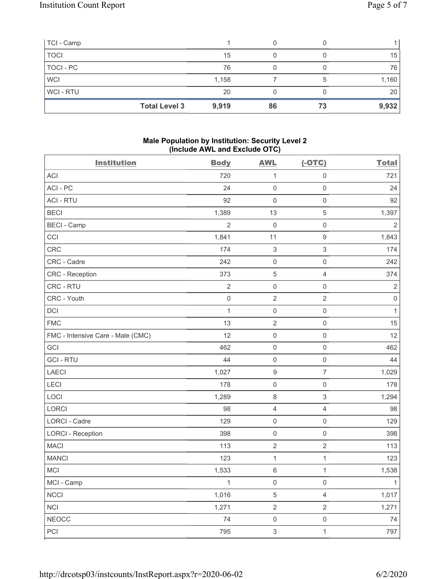| TCI - Camp  |                      |       |    |    |       |
|-------------|----------------------|-------|----|----|-------|
| <b>TOCI</b> |                      | 15    |    |    | 15    |
| TOCI - PC   |                      | 76    |    |    | 76    |
| <b>WCI</b>  |                      | 1,158 |    | 5  | 1,160 |
| WCI-RTU     |                      | 20    |    |    | 20    |
|             | <b>Total Level 3</b> | 9,919 | 86 | 73 | 9,932 |

### **Male Population by Institution: Security Level 2 (Include AWL and Exclude OTC)**

| <b>Institution</b>                | <b>Body</b>    | $\mathbf{r}$<br><b>AWL</b> | $(-OTC)$                  | <b>Total</b>   |
|-----------------------------------|----------------|----------------------------|---------------------------|----------------|
| <b>ACI</b>                        | 720            | 1                          | $\mathsf{O}\xspace$       | 721            |
| ACI - PC                          | 24             | $\mathbf 0$                | $\mathsf{O}\xspace$       | 24             |
| <b>ACI - RTU</b>                  | 92             | $\mathbf 0$                | $\mathsf{O}\xspace$       | 92             |
| <b>BECI</b>                       | 1,389          | 13                         | 5                         | 1,397          |
| <b>BECI - Camp</b>                | $\overline{2}$ | $\mathbf 0$                | $\mathsf 0$               | $\overline{2}$ |
| CCI                               | 1,841          | 11                         | $\boldsymbol{9}$          | 1,843          |
| CRC                               | 174            | $\ensuremath{\mathsf{3}}$  | $\ensuremath{\mathsf{3}}$ | 174            |
| CRC - Cadre                       | 242            | $\mathbf 0$                | $\mathsf{O}\xspace$       | 242            |
| <b>CRC</b> - Reception            | 373            | $\,$ 5 $\,$                | 4                         | 374            |
| CRC - RTU                         | $\sqrt{2}$     | $\mathsf 0$                | $\mathsf{O}\xspace$       | $\sqrt{2}$     |
| CRC - Youth                       | $\mathbf 0$    | $\sqrt{2}$                 | $\overline{2}$            | $\mathbf 0$    |
| DCI                               | $\mathbf{1}$   | $\mathsf{O}\xspace$        | $\mathsf{O}\xspace$       | $\mathbf{1}$   |
| <b>FMC</b>                        | 13             | $\overline{2}$             | $\mathsf{O}\xspace$       | 15             |
| FMC - Intensive Care - Male (CMC) | 12             | $\mathbf 0$                | $\mathsf{O}\xspace$       | 12             |
| GCI                               | 462            | $\mathsf 0$                | $\mathsf{O}\xspace$       | 462            |
| <b>GCI-RTU</b>                    | 44             | $\mathsf 0$                | $\mathsf{O}\xspace$       | 44             |
| <b>LAECI</b>                      | 1,027          | $\boldsymbol{9}$           | $\overline{7}$            | 1,029          |
| LECI                              | 178            | $\mathsf{O}\xspace$        | $\mathsf{O}\xspace$       | 178            |
| LOCI                              | 1,289          | $\,8\,$                    | $\ensuremath{\mathsf{3}}$ | 1,294          |
| LORCI                             | 98             | $\overline{4}$             | $\overline{4}$            | 98             |
| LORCI - Cadre                     | 129            | $\mathbf 0$                | $\mathsf{O}\xspace$       | 129            |
| <b>LORCI - Reception</b>          | 398            | $\mathbf 0$                | $\mathsf{O}\xspace$       | 398            |
| <b>MACI</b>                       | 113            | $\overline{2}$             | $\overline{2}$            | 113            |
| <b>MANCI</b>                      | 123            | 1                          | $\mathbf{1}$              | 123            |
| <b>MCI</b>                        | 1,533          | $\,6\,$                    | 1                         | 1,538          |
| MCI - Camp                        | 1              | 0                          | 0                         | $\mathbf{1}$   |
| <b>NCCI</b>                       | 1,016          | $\sqrt{5}$                 | $\overline{4}$            | 1,017          |
| <b>NCI</b>                        | 1,271          | $\overline{2}$             | $\overline{2}$            | 1,271          |
| <b>NEOCC</b>                      | 74             | $\mathsf{O}\xspace$        | $\mathsf{O}\xspace$       | 74             |
| PCI                               | 795            | $\ensuremath{\mathsf{3}}$  | $\mathbf{1}$              | 797            |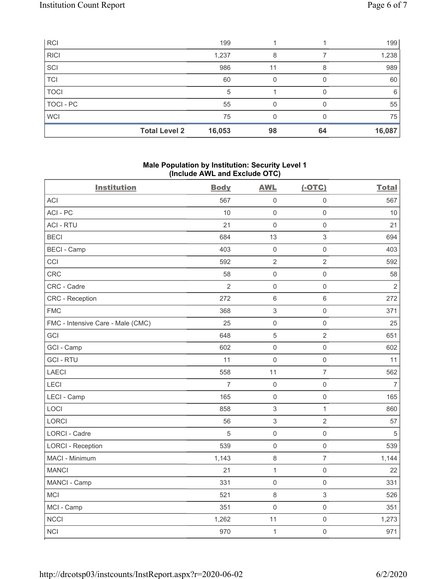| <b>RCI</b>  |                      | 199    |    |    | 199    |
|-------------|----------------------|--------|----|----|--------|
| <b>RICI</b> |                      | 1,237  | 8  |    | 1,238  |
| SCI         |                      | 986    |    |    | 989    |
| TCI         |                      | 60     |    |    | 60     |
| <b>TOCI</b> |                      | 5      |    |    | 6      |
| TOCI - PC   |                      | 55     |    |    | 55     |
| <b>WCI</b>  |                      | 75     |    |    | 75     |
|             | <b>Total Level 2</b> | 16,053 | 98 | 64 | 16,087 |

### **Male Population by Institution: Security Level 1 (Include AWL and Exclude OTC)**

| ,                                 |                |                           |                     |                |
|-----------------------------------|----------------|---------------------------|---------------------|----------------|
| <b>Institution</b>                | <b>Body</b>    | <b>AWL</b>                | $(-OTC)$            | <b>Total</b>   |
| <b>ACI</b>                        | 567            | $\mathbf 0$               | $\mathsf 0$         | 567            |
| ACI-PC                            | 10             | $\mathbf 0$               | $\mathsf{O}\xspace$ | 10             |
| <b>ACI - RTU</b>                  | 21             | $\mathbf 0$               | $\mathbf 0$         | 21             |
| <b>BECI</b>                       | 684            | 13                        | 3                   | 694            |
| <b>BECI - Camp</b>                | 403            | $\mathbf 0$               | $\mathsf{O}\xspace$ | 403            |
| CCI                               | 592            | $\sqrt{2}$                | $\overline{2}$      | 592            |
| CRC                               | 58             | $\mathbf 0$               | $\mathsf 0$         | 58             |
| CRC - Cadre                       | $\overline{2}$ | $\mathbf 0$               | $\mathsf{O}\xspace$ | $\overline{2}$ |
| CRC - Reception                   | 272            | $\,6\,$                   | 6                   | 272            |
| <b>FMC</b>                        | 368            | $\ensuremath{\mathsf{3}}$ | $\mathsf{O}\xspace$ | 371            |
| FMC - Intensive Care - Male (CMC) | 25             | $\mathsf 0$               | $\mathsf{O}\xspace$ | 25             |
| GCI                               | 648            | 5                         | $\overline{2}$      | 651            |
| GCI - Camp                        | 602            | $\mathbf 0$               | $\mathsf{O}\xspace$ | 602            |
| <b>GCI-RTU</b>                    | 11             | $\mathbf 0$               | $\mathsf{O}\xspace$ | 11             |
| LAECI                             | 558            | 11                        | $\overline{7}$      | 562            |
| LECI                              | 7              | $\mathbf 0$               | $\mathsf{O}\xspace$ | $\overline{7}$ |
| LECI - Camp                       | 165            | $\mathbf 0$               | $\mathsf{O}\xspace$ | 165            |
| LOCI                              | 858            | $\,$ 3 $\,$               | $\mathbf{1}$        | 860            |
| <b>LORCI</b>                      | 56             | $\,$ 3 $\,$               | $\overline{2}$      | 57             |
| LORCI - Cadre                     | $\sqrt{5}$     | $\mathsf 0$               | $\mathsf 0$         | $\sqrt{5}$     |
| <b>LORCI - Reception</b>          | 539            | $\mathbf 0$               | $\mathsf{O}\xspace$ | 539            |
| MACI - Minimum                    | 1,143          | $\,8\,$                   | $\overline{7}$      | 1,144          |
| <b>MANCI</b>                      | 21             | $\mathbf{1}$              | $\mathsf{O}\xspace$ | 22             |
| MANCI - Camp                      | 331            | $\mathbf 0$               | $\mathsf{O}\xspace$ | 331            |
| MCI                               | 521            | $\,8\,$                   | 3                   | 526            |
| MCI - Camp                        | 351            | $\boldsymbol{0}$          | $\mathsf{O}\xspace$ | 351            |
| <b>NCCI</b>                       | 1,262          | 11                        | $\mathsf{O}\xspace$ | 1,273          |
| <b>NCI</b>                        | 970            | $\mathbf{1}$              | $\mathsf{O}\xspace$ | 971            |